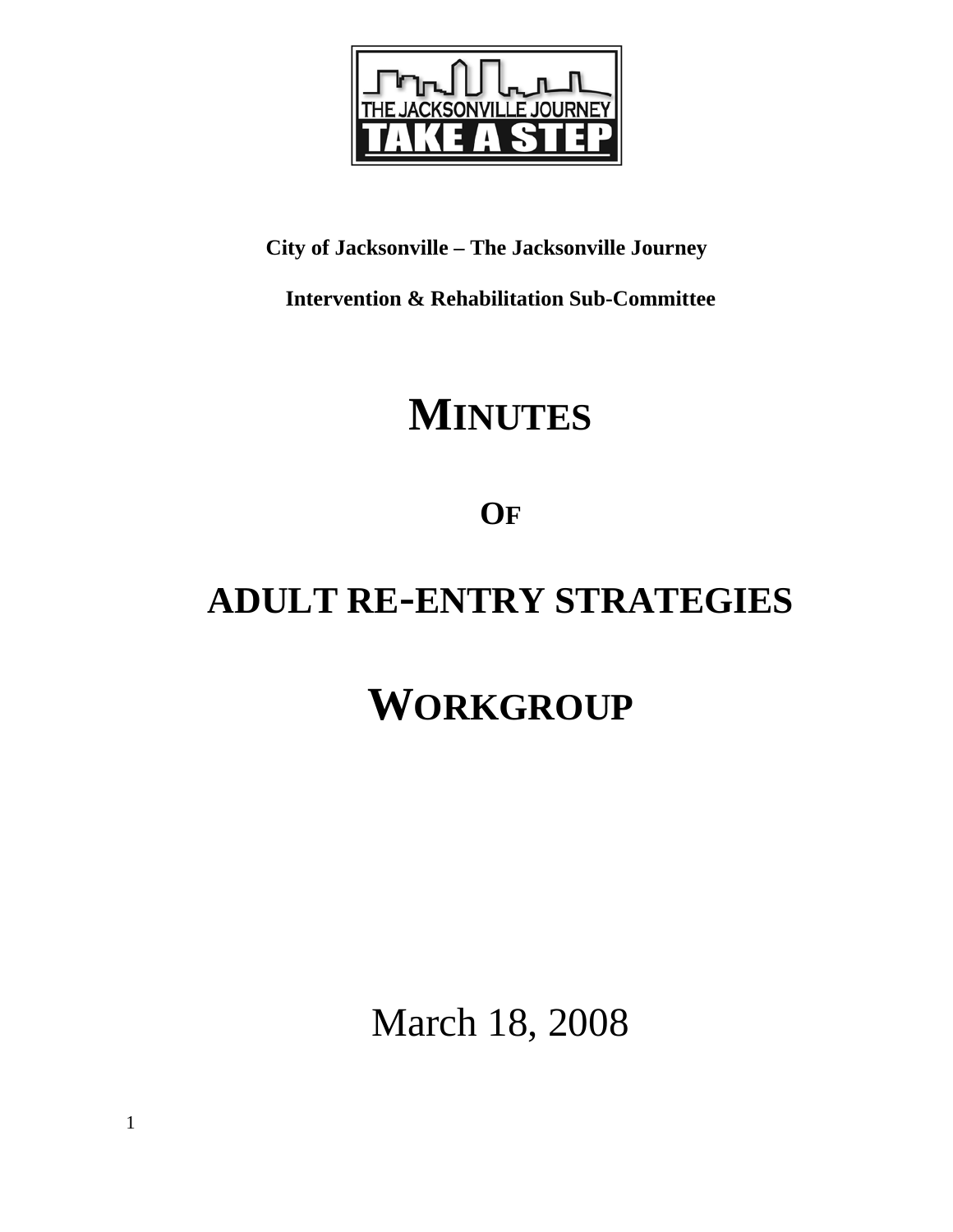

## **City of Jacksonville – The Jacksonville Journey**

**Intervention & Rehabilitation Sub-Committee** 

# **MINUTES**

**OF**

## **ADULT RE-ENTRY STRATEGIES**

# **WORKGROUP**

March 18, 2008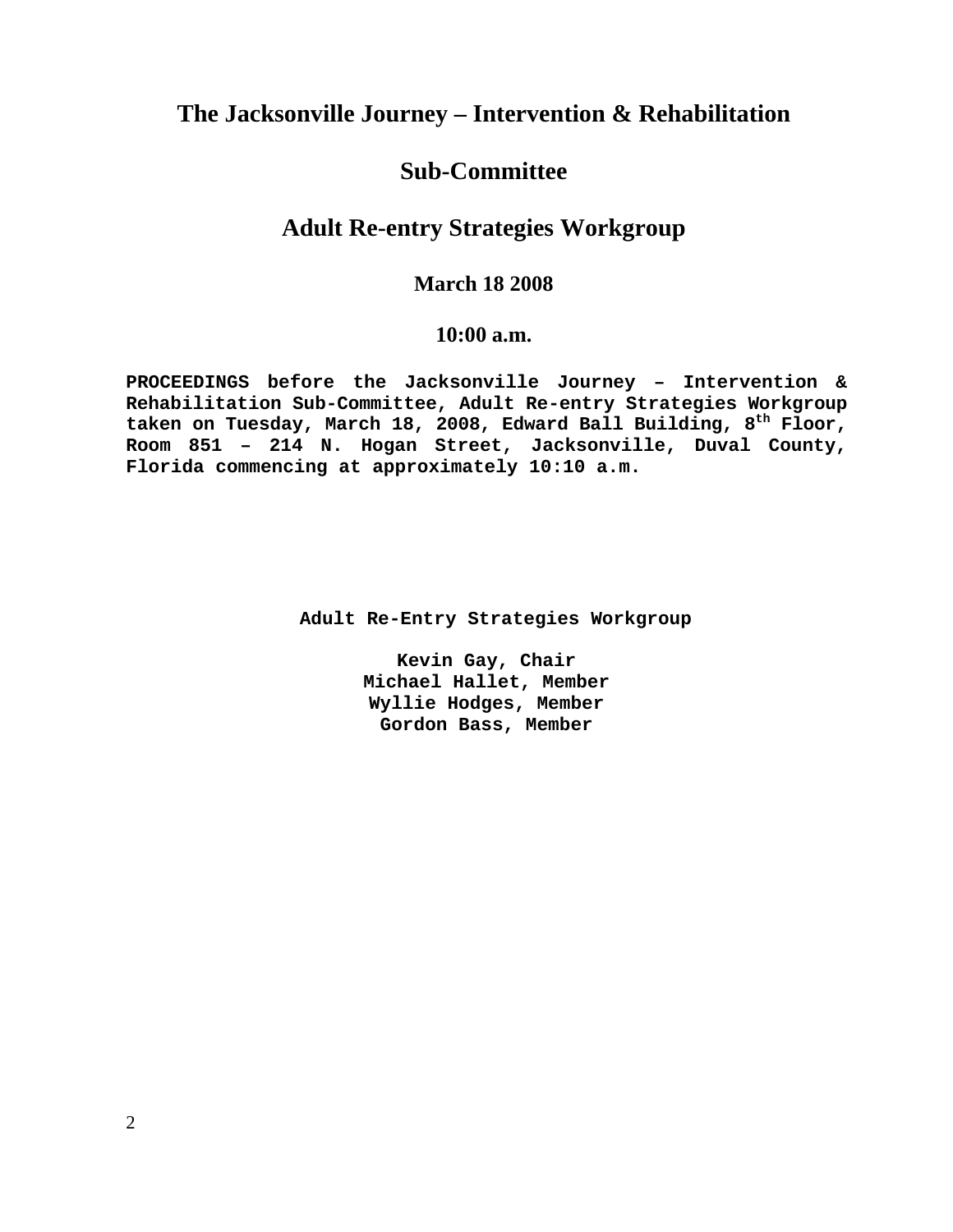## **The Jacksonville Journey – Intervention & Rehabilitation**

## **Sub-Committee**

## **Adult Re-entry Strategies Workgroup**

## **March 18 2008**

### **10:00 a.m.**

**PROCEEDINGS before the Jacksonville Journey – Intervention & Rehabilitation Sub-Committee, Adult Re-entry Strategies Workgroup**  taken on Tuesday, March 18, 2008, Edward Ball Building, 8<sup>th</sup> Floor, **Room 851 – 214 N. Hogan Street, Jacksonville, Duval County, Florida commencing at approximately 10:10 a.m.** 

 **Adult Re-Entry Strategies Workgroup** 

**Kevin Gay, Chair Michael Hallet, Member Wyllie Hodges, Member Gordon Bass, Member**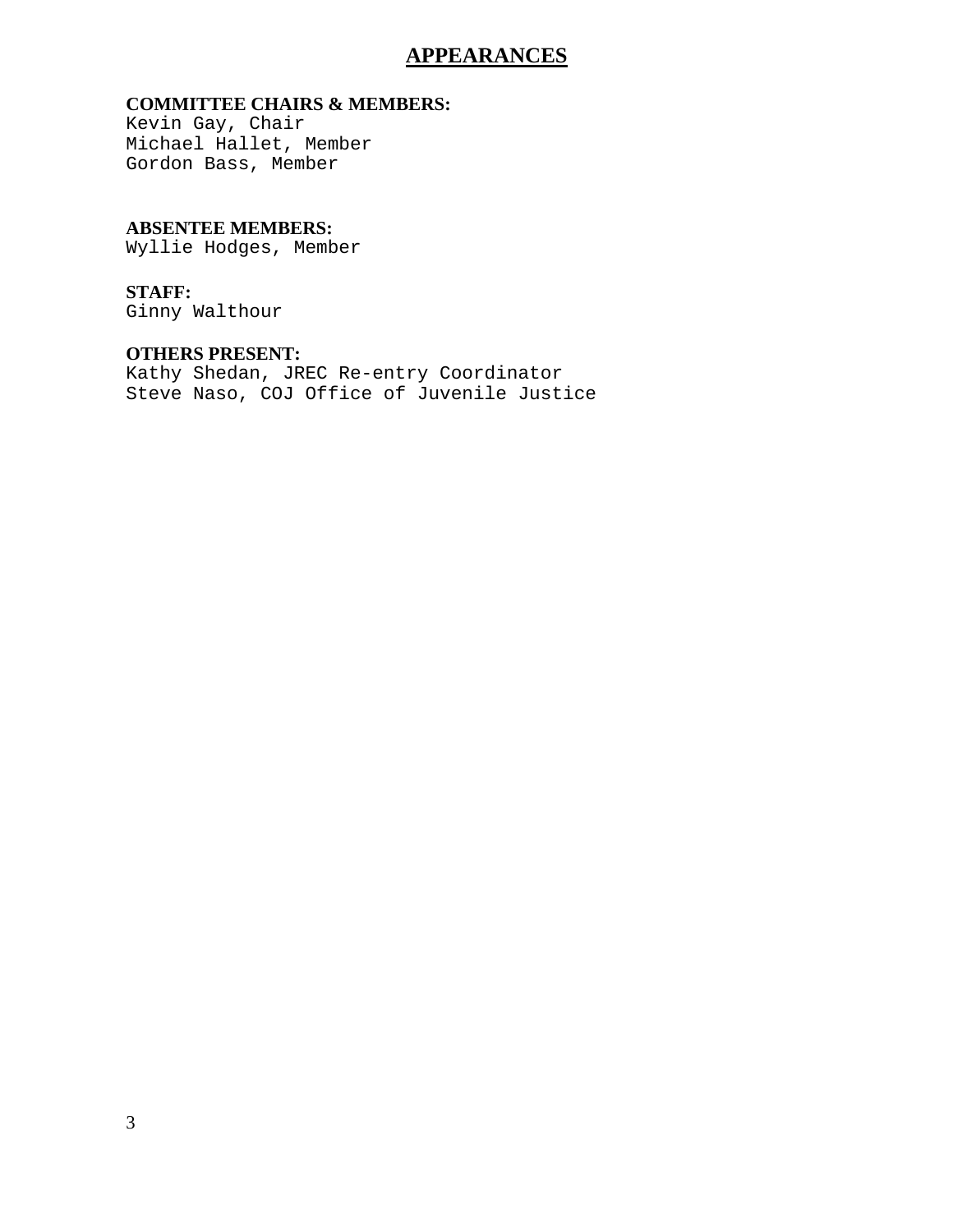## **APPEARANCES**

### **COMMITTEE CHAIRS & MEMBERS:**

Kevin Gay, Chair Michael Hallet, Member Gordon Bass, Member

### **ABSENTEE MEMBERS:**

Wyllie Hodges, Member

#### **STAFF:**

Ginny Walthour

#### **OTHERS PRESENT:**

Kathy Shedan, JREC Re-entry Coordinator Steve Naso, COJ Office of Juvenile Justice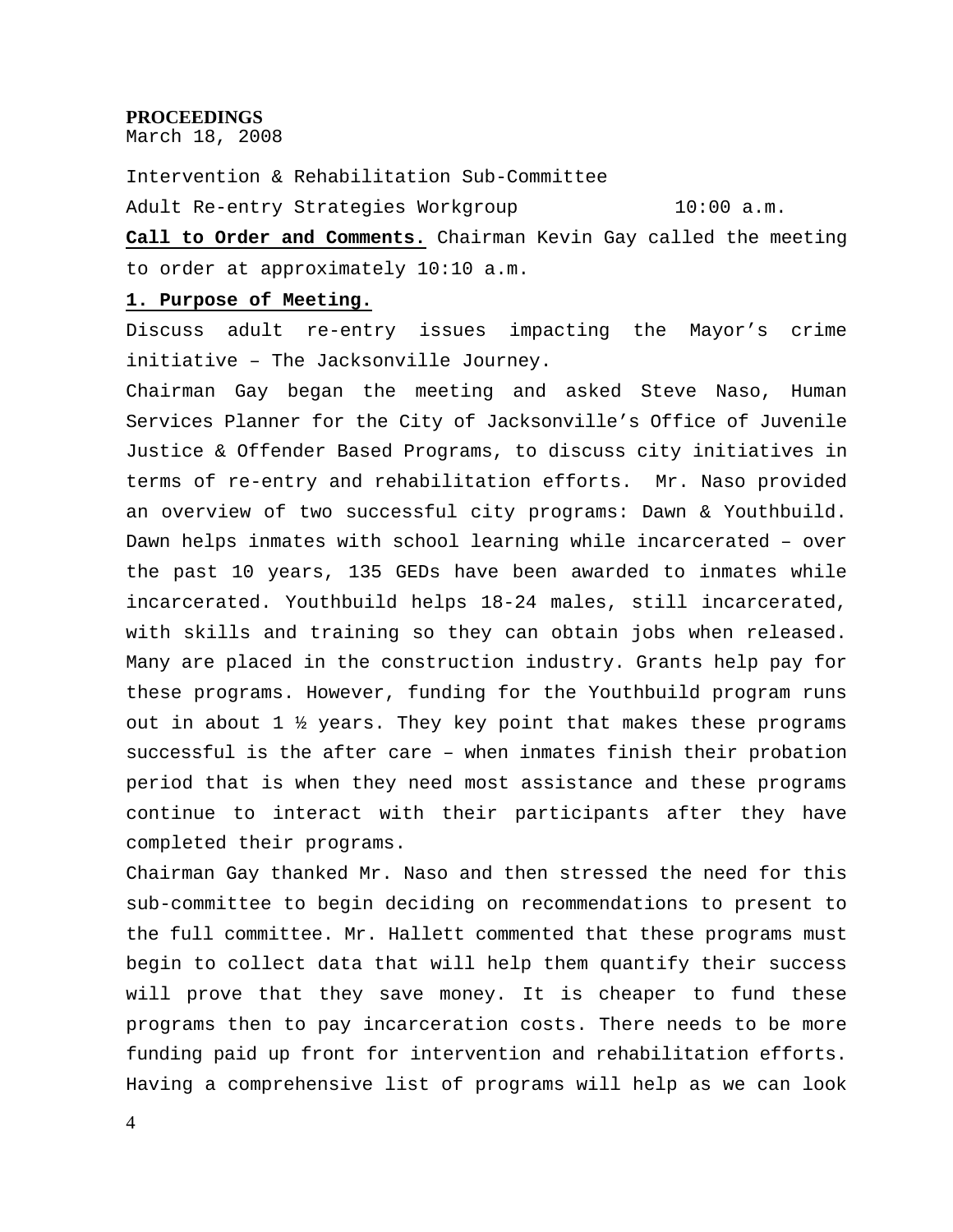#### **PROCEEDINGS**

March 18, 2008

Intervention & Rehabilitation Sub-Committee Adult Re-entry Strategies Workgroup 10:00 a.m.

**Call to Order and Comments.** Chairman Kevin Gay called the meeting to order at approximately 10:10 a.m.

#### **1. Purpose of Meeting.**

Discuss adult re-entry issues impacting the Mayor's crime initiative – The Jacksonville Journey.

Chairman Gay began the meeting and asked Steve Naso, Human Services Planner for the City of Jacksonville's Office of Juvenile Justice & Offender Based Programs, to discuss city initiatives in terms of re-entry and rehabilitation efforts. Mr. Naso provided an overview of two successful city programs: Dawn & Youthbuild. Dawn helps inmates with school learning while incarcerated – over the past 10 years, 135 GEDs have been awarded to inmates while incarcerated. Youthbuild helps 18-24 males, still incarcerated, with skills and training so they can obtain jobs when released. Many are placed in the construction industry. Grants help pay for these programs. However, funding for the Youthbuild program runs out in about 1 ½ years. They key point that makes these programs successful is the after care – when inmates finish their probation period that is when they need most assistance and these programs continue to interact with their participants after they have completed their programs.

Chairman Gay thanked Mr. Naso and then stressed the need for this sub-committee to begin deciding on recommendations to present to the full committee. Mr. Hallett commented that these programs must begin to collect data that will help them quantify their success will prove that they save money. It is cheaper to fund these programs then to pay incarceration costs. There needs to be more funding paid up front for intervention and rehabilitation efforts. Having a comprehensive list of programs will help as we can look

4